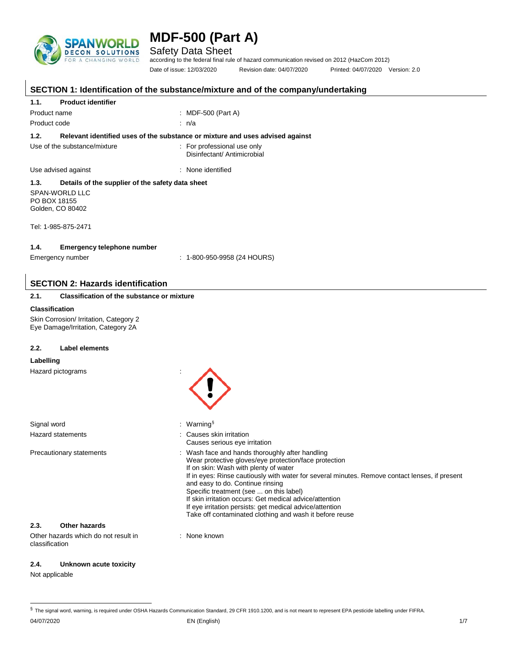

Safety Data Sheet

according to the federal final rule of hazard communication revised on 2012 (HazCom 2012) Date of issue: 12/03/2020 Revision date: 04/07/2020 Printed: 04/07/2020 Version: 2.0

|                                                                              | SECTION 1: Identification of the substance/mixture and of the company/undertaking                                                                                                                                                                                                                                                                                                                                                                                                                                    |
|------------------------------------------------------------------------------|----------------------------------------------------------------------------------------------------------------------------------------------------------------------------------------------------------------------------------------------------------------------------------------------------------------------------------------------------------------------------------------------------------------------------------------------------------------------------------------------------------------------|
| 1.1.<br><b>Product identifier</b>                                            |                                                                                                                                                                                                                                                                                                                                                                                                                                                                                                                      |
| Product name                                                                 | : MDF-500 (Part A)                                                                                                                                                                                                                                                                                                                                                                                                                                                                                                   |
| Product code                                                                 | : n/a                                                                                                                                                                                                                                                                                                                                                                                                                                                                                                                |
| 1.2.                                                                         | Relevant identified uses of the substance or mixture and uses advised against                                                                                                                                                                                                                                                                                                                                                                                                                                        |
| Use of the substance/mixture                                                 | : For professional use only<br>Disinfectant/ Antimicrobial                                                                                                                                                                                                                                                                                                                                                                                                                                                           |
| Use advised against                                                          | : None identified                                                                                                                                                                                                                                                                                                                                                                                                                                                                                                    |
| 1.3.<br>Details of the supplier of the safety data sheet                     |                                                                                                                                                                                                                                                                                                                                                                                                                                                                                                                      |
| SPAN-WORLD LLC<br>PO BOX 18155<br>Golden, CO 80402                           |                                                                                                                                                                                                                                                                                                                                                                                                                                                                                                                      |
| Tel: 1-985-875-2471                                                          |                                                                                                                                                                                                                                                                                                                                                                                                                                                                                                                      |
| 1.4.<br><b>Emergency telephone number</b>                                    |                                                                                                                                                                                                                                                                                                                                                                                                                                                                                                                      |
| Emergency number                                                             | $: 1-800-950-9958$ (24 HOURS)                                                                                                                                                                                                                                                                                                                                                                                                                                                                                        |
|                                                                              |                                                                                                                                                                                                                                                                                                                                                                                                                                                                                                                      |
| <b>SECTION 2: Hazards identification</b>                                     |                                                                                                                                                                                                                                                                                                                                                                                                                                                                                                                      |
| 2.1.<br><b>Classification of the substance or mixture</b>                    |                                                                                                                                                                                                                                                                                                                                                                                                                                                                                                                      |
| <b>Classification</b>                                                        |                                                                                                                                                                                                                                                                                                                                                                                                                                                                                                                      |
| Skin Corrosion/ Irritation, Category 2<br>Eye Damage/Irritation, Category 2A |                                                                                                                                                                                                                                                                                                                                                                                                                                                                                                                      |
| 2.2.<br><b>Label elements</b>                                                |                                                                                                                                                                                                                                                                                                                                                                                                                                                                                                                      |
| Labelling                                                                    |                                                                                                                                                                                                                                                                                                                                                                                                                                                                                                                      |
| Hazard pictograms                                                            |                                                                                                                                                                                                                                                                                                                                                                                                                                                                                                                      |
| Signal word                                                                  | : Warning $\frac{1}{3}$                                                                                                                                                                                                                                                                                                                                                                                                                                                                                              |
| <b>Hazard statements</b>                                                     | : Causes skin irritation<br>Causes serious eye irritation                                                                                                                                                                                                                                                                                                                                                                                                                                                            |
| Precautionary statements                                                     | : Wash face and hands thoroughly after handling<br>Wear protective gloves/eye protection/face protection<br>If on skin: Wash with plenty of water<br>If in eyes: Rinse cautiously with water for several minutes. Remove contact lenses, if present<br>and easy to do. Continue rinsing<br>Specific treatment (see  on this label)<br>If skin irritation occurs: Get medical advice/attention<br>If eye irritation persists: get medical advice/attention<br>Take off contaminated clothing and wash it before reuse |
| 2.3.<br><b>Other hazards</b>                                                 |                                                                                                                                                                                                                                                                                                                                                                                                                                                                                                                      |
| Other hazards which do not result in<br>classification                       | : None known                                                                                                                                                                                                                                                                                                                                                                                                                                                                                                         |
| Unknown acute toxicity<br>2.4.                                               |                                                                                                                                                                                                                                                                                                                                                                                                                                                                                                                      |

Not applicable

<span id="page-0-0"></span><sup>04/07/2020</sup> EN (English) 1/7 § The signal word, warning, is required under OSHA Hazards Communication Standard, 29 CFR 1910.1200, and is not meant to represent EPA pesticide labelling under FIFRA.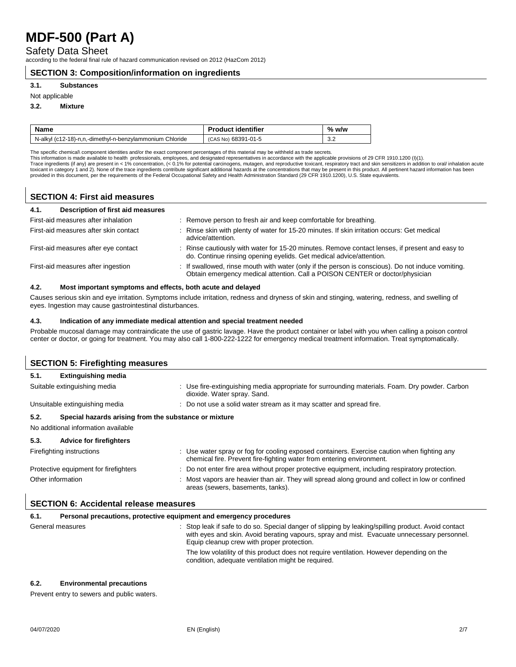Safety Data Sheet

according to the federal final rule of hazard communication revised on 2012 (HazCom 2012)

#### **SECTION 3: Composition/information on ingredients**

#### **3.1. Substances**

#### Not applicable

#### **3.2. Mixture**

| <b>Name</b>                                              | <b>Product identifier</b> | $%$ w/w              |
|----------------------------------------------------------|---------------------------|----------------------|
| N-alkyl (c12-18)-n,n,-dimethyl-n-benzylammonium Chloride | (CAS No) 68391-01-5       | $\sim$ $\sim$<br>v.z |

The specific chemical\ component identities and/or the exact component percentages of this material may be withheld as trade secrets.<br>This information is made available to health professionals, employees, and designated re provided in this document, per the requirements of the Federal Occupational Safety and Health Administration Standard (29 CFR 1910.1200), U.S. State equivalents.

### **SECTION 4: First aid measures**

| Description of first aid measures<br>4.1. |                                                                                                                                                                                   |
|-------------------------------------------|-----------------------------------------------------------------------------------------------------------------------------------------------------------------------------------|
| First-aid measures after inhalation       | : Remove person to fresh air and keep comfortable for breathing.                                                                                                                  |
| First-aid measures after skin contact     | : Rinse skin with plenty of water for 15-20 minutes. If skin irritation occurs: Get medical<br>advice/attention.                                                                  |
| First-aid measures after eye contact      | : Rinse cautiously with water for 15-20 minutes. Remove contact lenses, if present and easy to<br>do. Continue rinsing opening eyelids. Get medical advice/attention.             |
| First-aid measures after ingestion        | : If swallowed, rinse mouth with water (only if the person is conscious). Do not induce vomiting.<br>Obtain emergency medical attention. Call a POISON CENTER or doctor/physician |

#### **4.2. Most important symptoms and effects, both acute and delayed**

Causes serious skin and eye irritation. Symptoms include irritation, redness and dryness of skin and stinging, watering, redness, and swelling of eyes. Ingestion may cause gastrointestinal disturbances.

#### **4.3. Indication of any immediate medical attention and special treatment needed**

Probable mucosal damage may contraindicate the use of gastric lavage. Have the product container or label with you when calling a poison control center or doctor, or going for treatment. You may also call 1-800-222-1222 for emergency medical treatment information. Treat symptomatically.

| <b>SECTION 5: Firefighting measures</b>                                                              |                                                                                                                                                                      |  |
|------------------------------------------------------------------------------------------------------|----------------------------------------------------------------------------------------------------------------------------------------------------------------------|--|
| <b>Extinguishing media</b><br>5.1.                                                                   |                                                                                                                                                                      |  |
| Suitable extinguishing media                                                                         | : Use fire-extinguishing media appropriate for surrounding materials. Foam. Dry powder. Carbon<br>dioxide. Water spray. Sand.                                        |  |
| Unsuitable extinguishing media                                                                       | : Do not use a solid water stream as it may scatter and spread fire.                                                                                                 |  |
| Special hazards arising from the substance or mixture<br>5.2.<br>No additional information available |                                                                                                                                                                      |  |
| 5.3.<br><b>Advice for firefighters</b>                                                               |                                                                                                                                                                      |  |
| Firefighting instructions                                                                            | : Use water spray or fog for cooling exposed containers. Exercise caution when fighting any<br>chemical fire. Prevent fire-fighting water from entering environment. |  |
| Protective equipment for firefighters                                                                | : Do not enter fire area without proper protective equipment, including respiratory protection.                                                                      |  |
| Other information                                                                                    | : Most vapors are heavier than air. They will spread along ground and collect in low or confined<br>areas (sewers, basements, tanks).                                |  |
| <b>SECTION 6: Accidental release measures</b>                                                        |                                                                                                                                                                      |  |

| 6.1. | Personal precautions, protective equipment and emergency procedures |                                                                                                                                                                                                                                                  |
|------|---------------------------------------------------------------------|--------------------------------------------------------------------------------------------------------------------------------------------------------------------------------------------------------------------------------------------------|
|      | General measures                                                    | : Stop leak if safe to do so. Special danger of slipping by leaking/spilling product. Avoid contact<br>with eyes and skin. Avoid berating vapours, spray and mist. Evacuate unnecessary personnel.<br>Equip cleanup crew with proper protection. |
|      |                                                                     | The low volatility of this product does not require ventilation. However depending on the<br>condition, adequate ventilation might be required.                                                                                                  |

#### **6.2. Environmental precautions**

Prevent entry to sewers and public waters.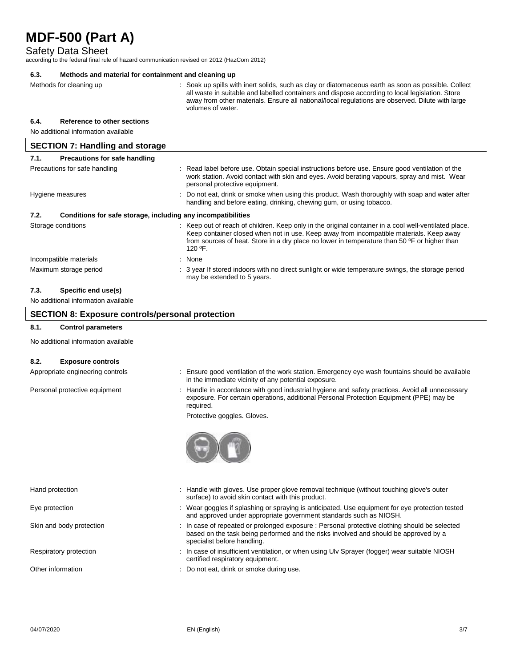Safety Data Sheet

according to the federal final rule of hazard communication revised on 2012 (HazCom 2012)

| 6.3. | Methods and material for containment and cleaning up         |  |                                                                                                                                                                                                                                                                                                                                 |
|------|--------------------------------------------------------------|--|---------------------------------------------------------------------------------------------------------------------------------------------------------------------------------------------------------------------------------------------------------------------------------------------------------------------------------|
|      | Methods for cleaning up                                      |  | : Soak up spills with inert solids, such as clay or diatomaceous earth as soon as possible. Collect<br>all waste in suitable and labelled containers and dispose according to local legislation. Store<br>away from other materials. Ensure all national/local regulations are observed. Dilute with large<br>volumes of water. |
| 6.4. | Reference to other sections                                  |  |                                                                                                                                                                                                                                                                                                                                 |
|      | No additional information available                          |  |                                                                                                                                                                                                                                                                                                                                 |
|      | <b>SECTION 7: Handling and storage</b>                       |  |                                                                                                                                                                                                                                                                                                                                 |
| 7.1. | Precautions for safe handling                                |  |                                                                                                                                                                                                                                                                                                                                 |
|      | Precautions for safe handling                                |  | : Read label before use. Obtain special instructions before use. Ensure good ventilation of the<br>work station. Avoid contact with skin and eyes. Avoid berating vapours, spray and mist. Wear<br>personal protective equipment.                                                                                               |
|      | Hygiene measures                                             |  | Do not eat, drink or smoke when using this product. Wash thoroughly with soap and water after<br>handling and before eating, drinking, chewing gum, or using tobacco.                                                                                                                                                           |
| 7.2. | Conditions for safe storage, including any incompatibilities |  |                                                                                                                                                                                                                                                                                                                                 |
|      | Storage conditions                                           |  | : Keep out of reach of children. Keep only in the original container in a cool well-ventilated place.<br>Keep container closed when not in use. Keep away from incompatible materials. Keep away<br>from sources of heat. Store in a dry place no lower in temperature than 50 °F or higher than<br>120 $^{\circ}$ F.           |
|      | Incompatible materials                                       |  | : None                                                                                                                                                                                                                                                                                                                          |
|      | Maximum storage period                                       |  | : 3 year If stored indoors with no direct sunlight or wide temperature swings, the storage period<br>may be extended to 5 years.                                                                                                                                                                                                |
|      |                                                              |  |                                                                                                                                                                                                                                                                                                                                 |

# **7.3. Specific end use(s)**

No additional information available

### **SECTION 8: Exposure controls/personal protection**

#### **8.1. Control parameters**

No additional information available

#### **8.2. Exposure controls**

- Appropriate engineering controls : Ensure good ventilation of the work station. Emergency eye wash fountains should be available in the immediate vicinity of any potential exposure.
- Personal protective equipment : Handle in accordance with good industrial hygiene and safety practices. Avoid all unnecessary exposure. For certain operations, additional Personal Protection Equipment (PPE) may be required.

Protective goggles. Gloves.



- Hand protection **interval of the Chandle with gloves.** Use proper glove removal technique (without touching glove's outer surface) to avoid skin contact with this product.
- Eye protection states of the state of the spaying of splashing or spraying is anticipated. Use equipment for eye protection tested and approved under appropriate government standards such as NIOSH.
- Skin and body protection : In case of repeated or prolonged exposure : Personal protective clothing should be selected based on the task being performed and the risks involved and should be approved by a specialist before handling.
- Respiratory protection : In case of insufficient ventilation, or when using Ulv Sprayer (fogger) wear suitable NIOSH certified respiratory equipment.
- Other information **Other information** : Do not eat, drink or smoke during use.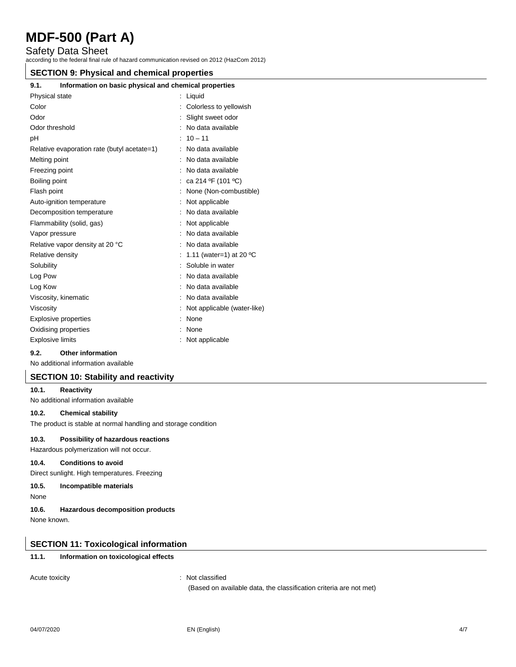Safety Data Sheet

according to the federal final rule of hazard communication revised on 2012 (HazCom 2012)

#### **SECTION 9: Physical and chemical properties**

# **9.1. Information on basic physical and chemical properties**

| Physical state                              | Liquid                            |
|---------------------------------------------|-----------------------------------|
| Color                                       | Colorless to yellowish            |
| Odor                                        | Slight sweet odor                 |
| Odor threshold                              | No data available                 |
| рH                                          | $10 - 11$                         |
| Relative evaporation rate (butyl acetate=1) | No data available                 |
| Melting point                               | No data available                 |
| Freezing point                              | No data available                 |
| Boiling point                               | ca 214 °F (101 °C)                |
| Flash point                                 | None (Non-combustible)            |
| Auto-ignition temperature                   | Not applicable                    |
| Decomposition temperature                   | No data available                 |
| Flammability (solid, gas)                   | Not applicable                    |
| Vapor pressure                              | No data available                 |
| Relative vapor density at 20 °C             | No data available                 |
| Relative density                            | 1.11 (water=1) at 20 $^{\circ}$ C |
| Solubility                                  | Soluble in water                  |
| Log Pow                                     | No data available                 |
| Log Kow                                     | No data available                 |
| Viscosity, kinematic                        | No data available                 |
| Viscosity                                   | Not applicable (water-like)       |
| <b>Explosive properties</b>                 | None                              |
| Oxidising properties                        | None                              |
| <b>Explosive limits</b>                     | Not applicable                    |
|                                             |                                   |

#### **9.2. Other information**

No additional information available

#### **SECTION 10: Stability and reactivity**

#### **10.1. Reactivity**

No additional information available

#### **10.2. Chemical stability**

The product is stable at normal handling and storage condition

#### **10.3. Possibility of hazardous reactions**

Hazardous polymerization will not occur.

#### **10.4. Conditions to avoid**

Direct sunlight. High temperatures. Freezing

#### **10.5. Incompatible materials**

None

**10.6. Hazardous decomposition products**

None known.

### **SECTION 11: Toxicological information**

### **11.1. Information on toxicological effects**

Acute toxicity **in the case of the Case of the Case of the Case of the Case of the Case of the Case of the Case of the Case of the Case of the Case of the Case of the Case of the Case of the Case of the Case of the Case of** 

(Based on available data, the classification criteria are not met)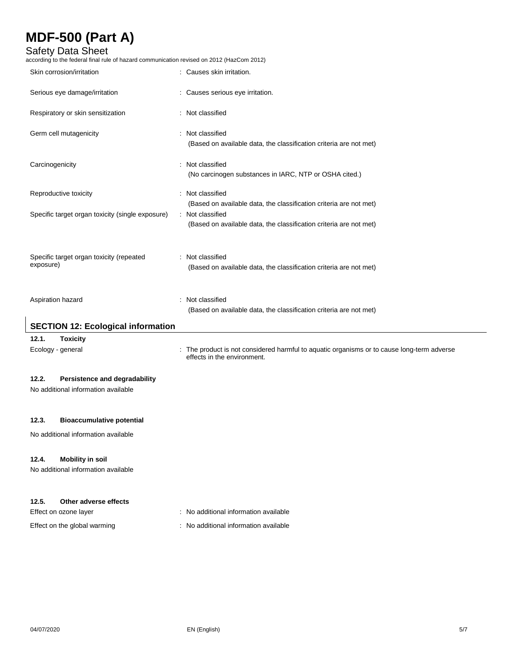## Safety Data Sheet

according to the federal final rule of hazard communication revised on 2012 (HazCom 2012)

| Serious eye damage/irritation<br>: Causes serious eye irritation.<br>Respiratory or skin sensitization<br>: Not classified<br>Germ cell mutagenicity<br>: Not classified<br>(Based on available data, the classification criteria are not met)<br>Carcinogenicity<br>: Not classified<br>(No carcinogen substances in IARC, NTP or OSHA cited.)<br>: Not classified<br>Reproductive toxicity<br>(Based on available data, the classification criteria are not met)<br>Specific target organ toxicity (single exposure)<br>: Not classified<br>(Based on available data, the classification criteria are not met)<br>Specific target organ toxicity (repeated<br>: Not classified<br>exposure)<br>(Based on available data, the classification criteria are not met)<br>Not classified<br>Aspiration hazard<br>÷<br>(Based on available data, the classification criteria are not met)<br><b>SECTION 12: Ecological information</b><br>12.1.<br><b>Toxicity</b><br>: The product is not considered harmful to aquatic organisms or to cause long-term adverse<br>Ecology - general<br>effects in the environment.<br>12.2.<br>Persistence and degradability<br>No additional information available<br>12.3.<br><b>Bioaccumulative potential</b><br>No additional information available<br><b>Mobility in soil</b><br>12.4.<br>No additional information available | Skin corrosion/irritation | : Causes skin irritation. |
|------------------------------------------------------------------------------------------------------------------------------------------------------------------------------------------------------------------------------------------------------------------------------------------------------------------------------------------------------------------------------------------------------------------------------------------------------------------------------------------------------------------------------------------------------------------------------------------------------------------------------------------------------------------------------------------------------------------------------------------------------------------------------------------------------------------------------------------------------------------------------------------------------------------------------------------------------------------------------------------------------------------------------------------------------------------------------------------------------------------------------------------------------------------------------------------------------------------------------------------------------------------------------------------------------------------------------------------------------------------|---------------------------|---------------------------|
|                                                                                                                                                                                                                                                                                                                                                                                                                                                                                                                                                                                                                                                                                                                                                                                                                                                                                                                                                                                                                                                                                                                                                                                                                                                                                                                                                                  |                           |                           |
|                                                                                                                                                                                                                                                                                                                                                                                                                                                                                                                                                                                                                                                                                                                                                                                                                                                                                                                                                                                                                                                                                                                                                                                                                                                                                                                                                                  |                           |                           |
|                                                                                                                                                                                                                                                                                                                                                                                                                                                                                                                                                                                                                                                                                                                                                                                                                                                                                                                                                                                                                                                                                                                                                                                                                                                                                                                                                                  |                           |                           |
|                                                                                                                                                                                                                                                                                                                                                                                                                                                                                                                                                                                                                                                                                                                                                                                                                                                                                                                                                                                                                                                                                                                                                                                                                                                                                                                                                                  |                           |                           |
|                                                                                                                                                                                                                                                                                                                                                                                                                                                                                                                                                                                                                                                                                                                                                                                                                                                                                                                                                                                                                                                                                                                                                                                                                                                                                                                                                                  |                           |                           |
|                                                                                                                                                                                                                                                                                                                                                                                                                                                                                                                                                                                                                                                                                                                                                                                                                                                                                                                                                                                                                                                                                                                                                                                                                                                                                                                                                                  |                           |                           |
|                                                                                                                                                                                                                                                                                                                                                                                                                                                                                                                                                                                                                                                                                                                                                                                                                                                                                                                                                                                                                                                                                                                                                                                                                                                                                                                                                                  |                           |                           |
|                                                                                                                                                                                                                                                                                                                                                                                                                                                                                                                                                                                                                                                                                                                                                                                                                                                                                                                                                                                                                                                                                                                                                                                                                                                                                                                                                                  |                           |                           |
|                                                                                                                                                                                                                                                                                                                                                                                                                                                                                                                                                                                                                                                                                                                                                                                                                                                                                                                                                                                                                                                                                                                                                                                                                                                                                                                                                                  |                           |                           |
|                                                                                                                                                                                                                                                                                                                                                                                                                                                                                                                                                                                                                                                                                                                                                                                                                                                                                                                                                                                                                                                                                                                                                                                                                                                                                                                                                                  |                           |                           |
|                                                                                                                                                                                                                                                                                                                                                                                                                                                                                                                                                                                                                                                                                                                                                                                                                                                                                                                                                                                                                                                                                                                                                                                                                                                                                                                                                                  |                           |                           |
|                                                                                                                                                                                                                                                                                                                                                                                                                                                                                                                                                                                                                                                                                                                                                                                                                                                                                                                                                                                                                                                                                                                                                                                                                                                                                                                                                                  |                           |                           |
|                                                                                                                                                                                                                                                                                                                                                                                                                                                                                                                                                                                                                                                                                                                                                                                                                                                                                                                                                                                                                                                                                                                                                                                                                                                                                                                                                                  |                           |                           |
|                                                                                                                                                                                                                                                                                                                                                                                                                                                                                                                                                                                                                                                                                                                                                                                                                                                                                                                                                                                                                                                                                                                                                                                                                                                                                                                                                                  |                           |                           |
|                                                                                                                                                                                                                                                                                                                                                                                                                                                                                                                                                                                                                                                                                                                                                                                                                                                                                                                                                                                                                                                                                                                                                                                                                                                                                                                                                                  |                           |                           |
|                                                                                                                                                                                                                                                                                                                                                                                                                                                                                                                                                                                                                                                                                                                                                                                                                                                                                                                                                                                                                                                                                                                                                                                                                                                                                                                                                                  |                           |                           |
|                                                                                                                                                                                                                                                                                                                                                                                                                                                                                                                                                                                                                                                                                                                                                                                                                                                                                                                                                                                                                                                                                                                                                                                                                                                                                                                                                                  |                           |                           |
|                                                                                                                                                                                                                                                                                                                                                                                                                                                                                                                                                                                                                                                                                                                                                                                                                                                                                                                                                                                                                                                                                                                                                                                                                                                                                                                                                                  |                           |                           |
|                                                                                                                                                                                                                                                                                                                                                                                                                                                                                                                                                                                                                                                                                                                                                                                                                                                                                                                                                                                                                                                                                                                                                                                                                                                                                                                                                                  |                           |                           |
| 12.5.<br>Other adverse effects<br>: No additional information available<br>Effect on ozone layer                                                                                                                                                                                                                                                                                                                                                                                                                                                                                                                                                                                                                                                                                                                                                                                                                                                                                                                                                                                                                                                                                                                                                                                                                                                                 |                           |                           |

Effect on the global warming **interest on the global warming** : No additional information available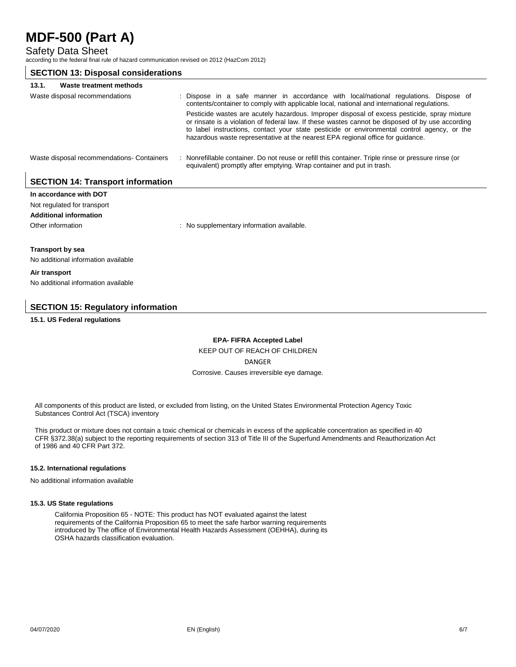Safety Data Sheet

according to the federal final rule of hazard communication revised on 2012 (HazCom 2012)

### **SECTION 13: Disposal considerations 13.1. Waste treatment methods** Waste disposal recommendations : Dispose in a safe manner in accordance with local/national regulations. Dispose of contents/container to comply with applicable local, national and international regulations. Pesticide wastes are acutely hazardous. Improper disposal of excess pesticide, spray mixture or rinsate is a violation of federal law. If these wastes cannot be disposed of by use according to label instructions, contact your state pesticide or environmental control agency, or the hazardous waste representative at the nearest EPA regional office for guidance. Waste disposal recommendations- Containers : Nonrefillable container. Do not reuse or refill this container. Triple rinse or pressure rinse (or equivalent) promptly after emptying. Wrap container and put in trash.

## **SECTION 14: Transport information**

| In accordance with DOT              |                                           |  |
|-------------------------------------|-------------------------------------------|--|
| Not regulated for transport         |                                           |  |
| <b>Additional information</b>       |                                           |  |
| Other information                   | : No supplementary information available. |  |
| <b>Transport by sea</b>             |                                           |  |
| No additional information available |                                           |  |
| Air transport                       |                                           |  |
| No additional information available |                                           |  |

## **SECTION 15: Regulatory information**

**15.1. US Federal regulations**

**EPA- FIFRA Accepted Label**

KEEP OUT OF REACH OF CHILDREN

DANGER

Corrosive. Causes irreversible eye damage.

All components of this product are listed, or excluded from listing, on the United States Environmental Protection Agency Toxic Substances Control Act (TSCA) inventory

This product or mixture does not contain a toxic chemical or chemicals in excess of the applicable concentration as specified in 40 CFR §372.38(a) subject to the reporting requirements of section 313 of Title III of the Superfund Amendments and Reauthorization Act of 1986 and 40 CFR Part 372.

#### **15.2. International regulations**

No additional information available

#### **15.3. US State regulations**

California Proposition 65 - NOTE: This product has NOT evaluated against the latest requirements of the California Proposition 65 to meet the safe harbor warning requirements introduced by The office of Environmental Health Hazards Assessment (OEHHA), during its OSHA hazards classification evaluation.